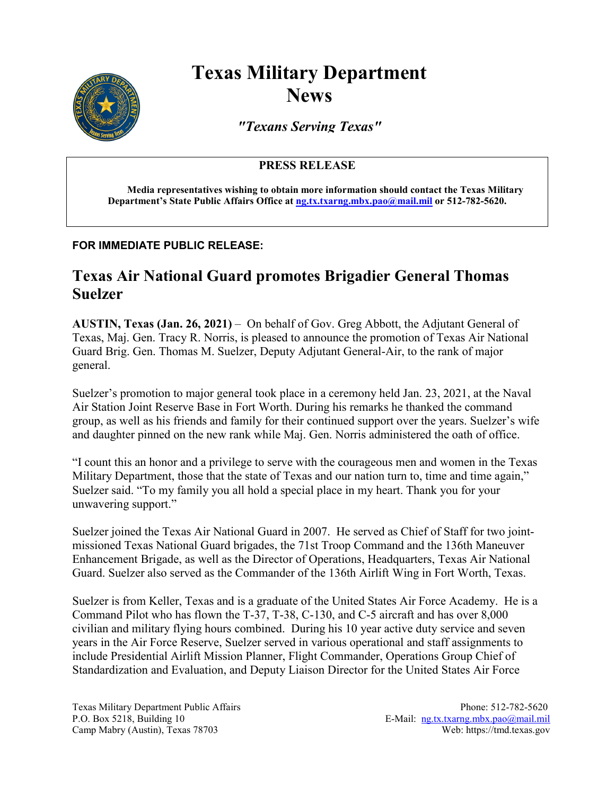

# **Texas Military Department News**

*"Texans Serving Texas"*

### **PRESS RELEASE**

**Media representatives wishing to obtain more information should contact the Texas Military Department's State Public Affairs Office a[t ng.tx.txarng.mbx.pao@mail.mil](mailto:ng.tx.txarng.mbx.pao@mail.mil) or 512-782-5620.**

#### **FOR IMMEDIATE PUBLIC RELEASE:**

## **Texas Air National Guard promotes Brigadier General Thomas Suelzer**

**AUSTIN, Texas (Jan. 26, 2021)** – On behalf of Gov. Greg Abbott, the Adjutant General of Texas, Maj. Gen. Tracy R. Norris, is pleased to announce the promotion of Texas Air National Guard Brig. Gen. Thomas M. Suelzer, Deputy Adjutant General-Air, to the rank of major general.

Suelzer's promotion to major general took place in a ceremony held Jan. 23, 2021, at the Naval Air Station Joint Reserve Base in Fort Worth. During his remarks he thanked the command group, as well as his friends and family for their continued support over the years. Suelzer's wife and daughter pinned on the new rank while Maj. Gen. Norris administered the oath of office.

"I count this an honor and a privilege to serve with the courageous men and women in the Texas Military Department, those that the state of Texas and our nation turn to, time and time again," Suelzer said. "To my family you all hold a special place in my heart. Thank you for your unwavering support."

Suelzer joined the Texas Air National Guard in 2007. He served as Chief of Staff for two jointmissioned Texas National Guard brigades, the 71st Troop Command and the 136th Maneuver Enhancement Brigade, as well as the Director of Operations, Headquarters, Texas Air National Guard. Suelzer also served as the Commander of the 136th Airlift Wing in Fort Worth, Texas.

Suelzer is from Keller, Texas and is a graduate of the United States Air Force Academy. He is a Command Pilot who has flown the T-37, T-38, C-130, and C-5 aircraft and has over 8,000 civilian and military flying hours combined. During his 10 year active duty service and seven years in the Air Force Reserve, Suelzer served in various operational and staff assignments to include Presidential Airlift Mission Planner, Flight Commander, Operations Group Chief of Standardization and Evaluation, and Deputy Liaison Director for the United States Air Force

Texas Military Department Public Affairs **Phone: 512-782-5620** Phone: 512-782-5620 P.O. Box 5218, Building 10 E-Mail: [ng.tx.txarng.mbx.pao@mail.mil](mailto:ng.tx.txarng.mbx.pao@mail.mil) Camp Mabry (Austin), Texas 78703 Web: https://tmd.texas.gov